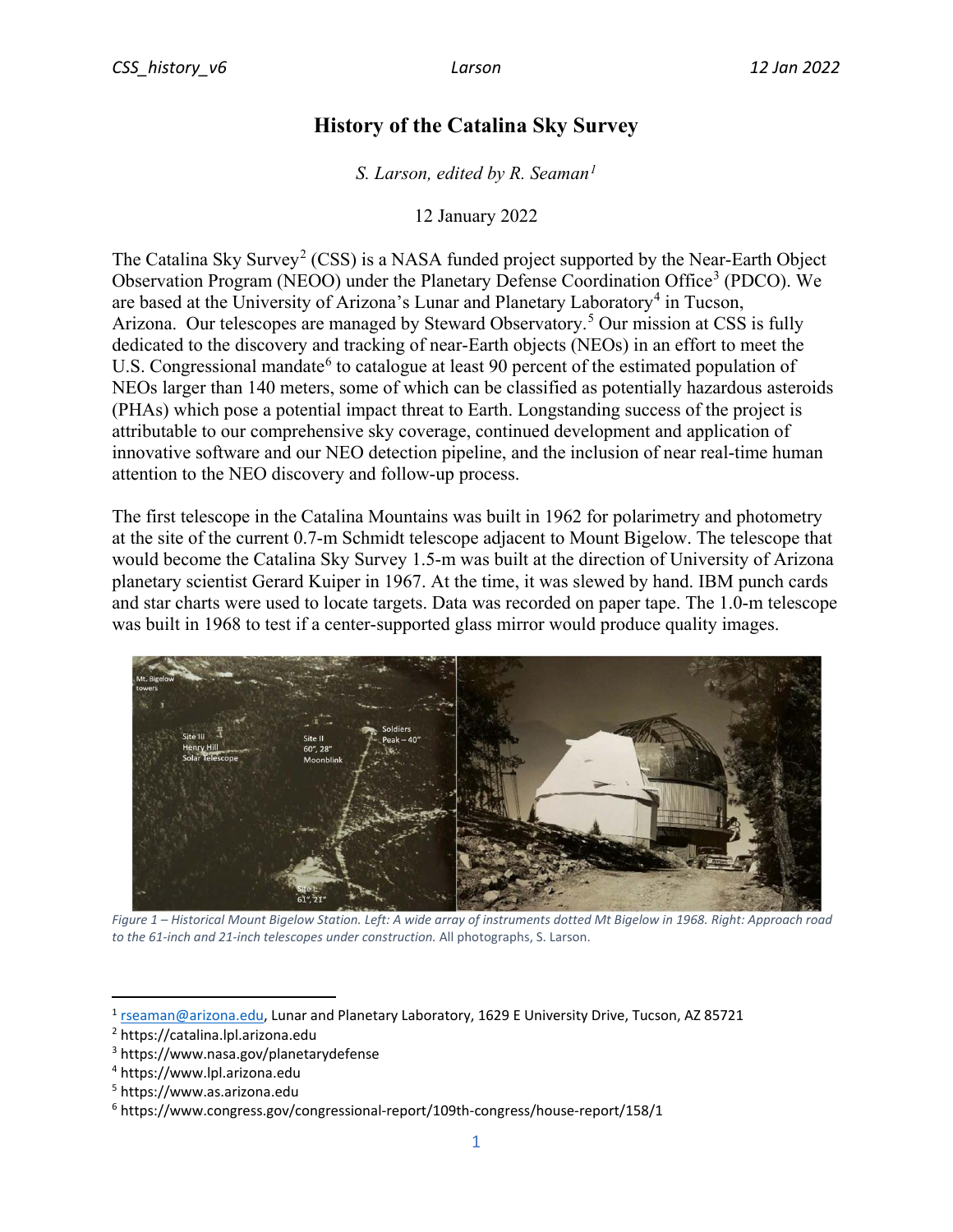## **History of the Catalina Sky Survey**

*S. Larson, edited by R. Seaman1*

12 January 2022

The Catalina Sky Survey<sup>2</sup> (CSS) is a NASA funded project supported by the Near-Earth Object Observation Program (NEOO) under the Planetary Defense Coordination Office<sup>3</sup> (PDCO). We are based at the University of Arizona's Lunar and Planetary Laboratory<sup>4</sup> in Tucson, Arizona. Our telescopes are managed by Steward Observatory.<sup>5</sup> Our mission at CSS is fully dedicated to the discovery and tracking of near-Earth objects (NEOs) in an effort to meet the U.S. Congressional mandate<sup>6</sup> to catalogue at least 90 percent of the estimated population of NEOs larger than 140 meters, some of which can be classified as potentially hazardous asteroids (PHAs) which pose a potential impact threat to Earth. Longstanding success of the project is attributable to our comprehensive sky coverage, continued development and application of innovative software and our NEO detection pipeline, and the inclusion of near real-time human attention to the NEO discovery and follow-up process.

The first telescope in the Catalina Mountains was built in 1962 for polarimetry and photometry at the site of the current 0.7-m Schmidt telescope adjacent to Mount Bigelow. The telescope that would become the Catalina Sky Survey 1.5-m was built at the direction of University of Arizona planetary scientist Gerard Kuiper in 1967. At the time, it was slewed by hand. IBM punch cards and star charts were used to locate targets. Data was recorded on paper tape. The 1.0-m telescope was built in 1968 to test if a center-supported glass mirror would produce quality images.



*Figure 1 – Historical Mount Bigelow Station. Left: A wide array of instruments dotted Mt Bigelow in 1968. Right: Approach road to the 61-inch and 21-inch telescopes under construction.* All photographs, S. Larson.

<sup>5</sup> https://www.as.arizona.edu

<sup>1</sup> [rseaman@arizona.edu,](mailto:rseaman@arizona.edu) Lunar and Planetary Laboratory, 1629 E University Drive, Tucson, AZ 85721

<sup>&</sup>lt;sup>2</sup> https://catalina.lpl.arizona.edu

<sup>3</sup> https://www.nasa.gov/planetarydefense

<sup>4</sup> https://www.lpl.arizona.edu

<sup>6</sup> https://www.congress.gov/congressional-report/109th-congress/house-report/158/1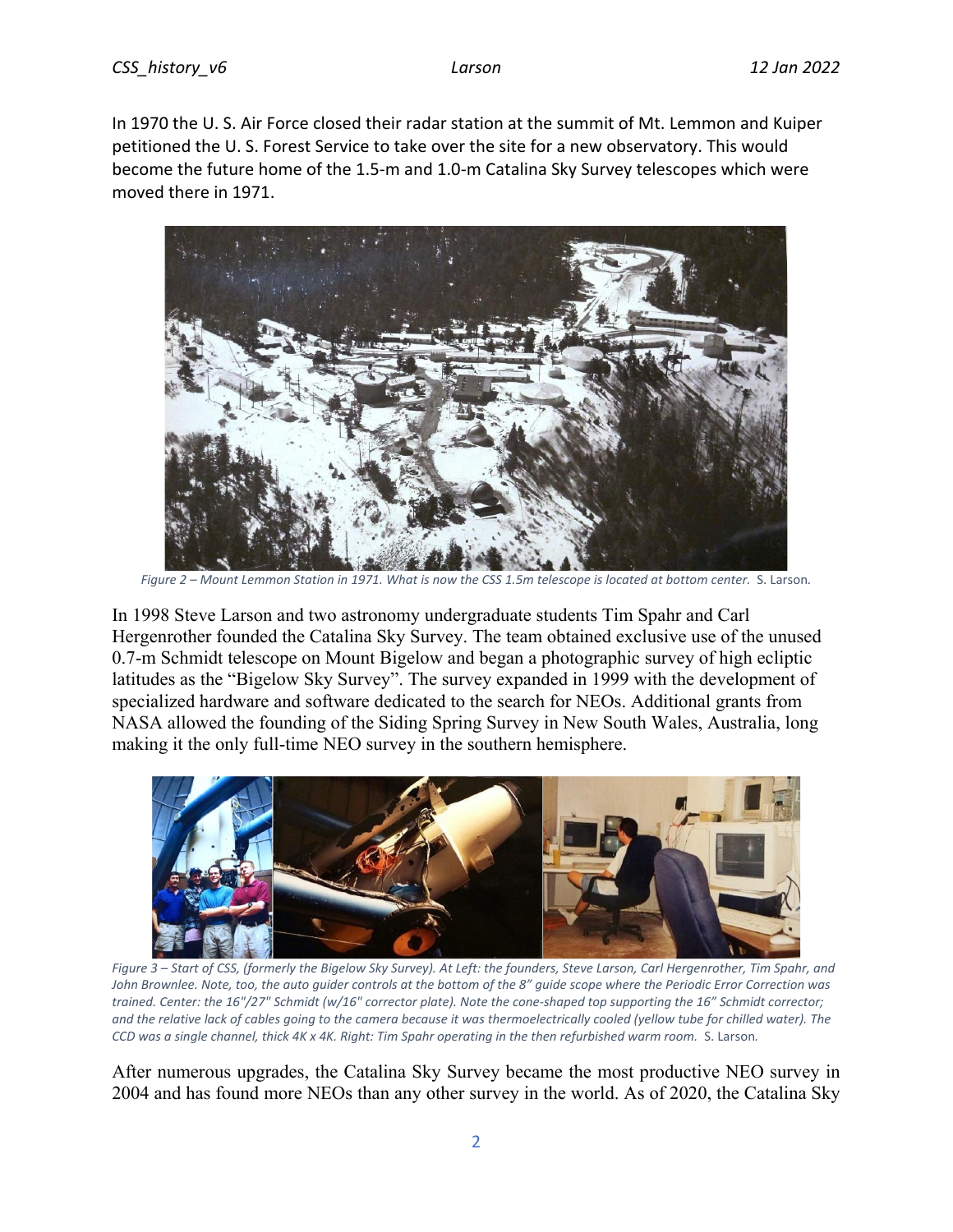In 1970 the U. S. Air Force closed their radar station at the summit of Mt. Lemmon and Kuiper petitioned the U. S. Forest Service to take over the site for a new observatory. This would become the future home of the 1.5-m and 1.0-m Catalina Sky Survey telescopes which were moved there in 1971.



*Figure 2 – Mount Lemmon Station in 1971. What is now the CSS 1.5m telescope is located at bottom center.* S. Larson*.* 

In 1998 Steve Larson and two astronomy undergraduate students Tim Spahr and Carl Hergenrother founded the Catalina Sky Survey. The team obtained exclusive use of the unused 0.7-m Schmidt telescope on Mount Bigelow and began a photographic survey of high ecliptic latitudes as the "Bigelow Sky Survey". The survey expanded in 1999 with the development of specialized hardware and software dedicated to the search for NEOs. Additional grants from NASA allowed the founding of the Siding Spring Survey in New South Wales, Australia, long making it the only full-time NEO survey in the southern hemisphere.



*Figure 3 – Start of CSS, (formerly the Bigelow Sky Survey). At Left: the founders, Steve Larson, Carl Hergenrother, Tim Spahr, and John Brownlee. Note, too, the auto guider controls at the bottom of the 8" guide scope where the Periodic Error Correction was trained. Center: the 16"/27" Schmidt (w/16" corrector plate). Note the cone-shaped top supporting the 16" Schmidt corrector; and the relative lack of cables going to the camera because it was thermoelectrically cooled (yellow tube for chilled water). The CCD was a single channel, thick 4K x 4K. Right: Tim Spahr operating in the then refurbished warm room.* S. Larson*.* 

After numerous upgrades, the Catalina Sky Survey became the most productive NEO survey in 2004 and has found more NEOs than any other survey in the world. As of 2020, the Catalina Sky